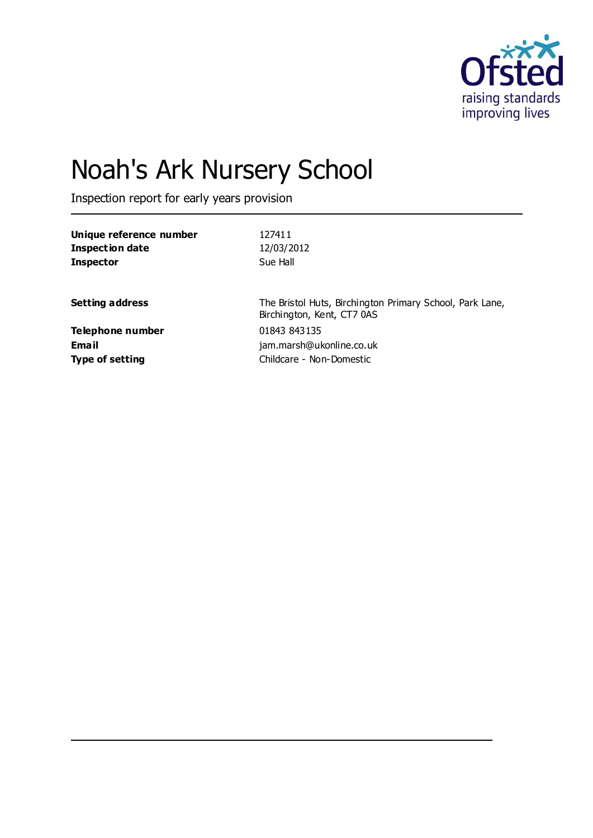

# Noah's Ark Nursery School

Inspection report for early years provision

| 127411                                                                                 |
|----------------------------------------------------------------------------------------|
| 12/03/2012                                                                             |
| Sue Hall                                                                               |
|                                                                                        |
| The Bristol Huts, Birchington Primary School, Park Lane,<br>Birchington, Kent, CT7 0AS |
| 01843 843135                                                                           |
| jam.marsh@ukonline.co.uk                                                               |
| Childcare - Non-Domestic                                                               |
|                                                                                        |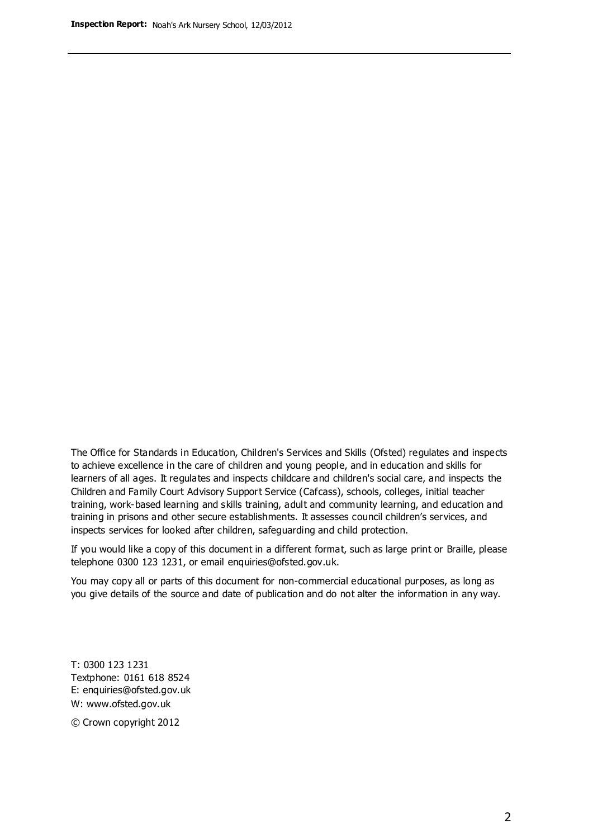The Office for Standards in Education, Children's Services and Skills (Ofsted) regulates and inspects to achieve excellence in the care of children and young people, and in education and skills for learners of all ages. It regulates and inspects childcare and children's social care, and inspects the Children and Family Court Advisory Support Service (Cafcass), schools, colleges, initial teacher training, work-based learning and skills training, adult and community learning, and education and training in prisons and other secure establishments. It assesses council children's services, and inspects services for looked after children, safeguarding and child protection.

If you would like a copy of this document in a different format, such as large print or Braille, please telephone 0300 123 1231, or email enquiries@ofsted.gov.uk.

You may copy all or parts of this document for non-commercial educational purposes, as long as you give details of the source and date of publication and do not alter the information in any way.

T: 0300 123 1231 Textphone: 0161 618 8524 E: enquiries@ofsted.gov.uk W: [www.ofsted.gov.uk](http://www.ofsted.gov.uk/)

© Crown copyright 2012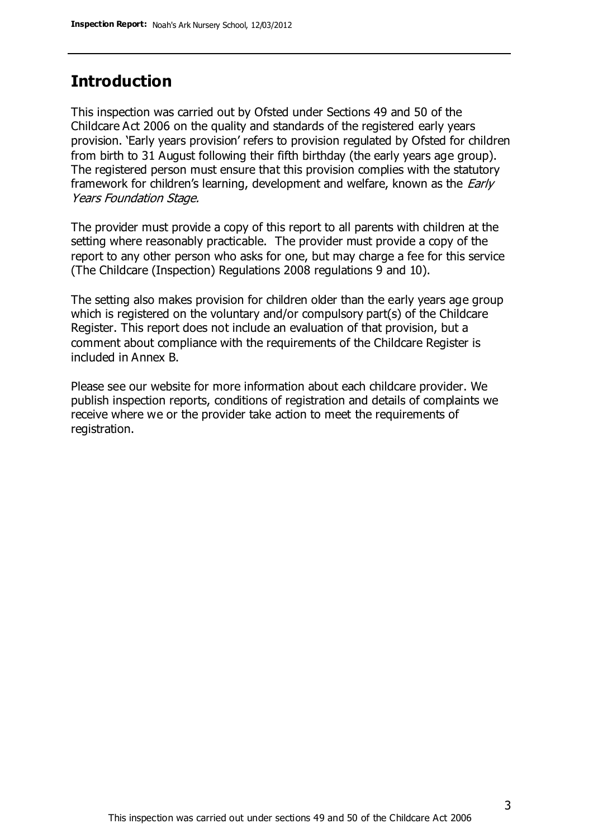### **Introduction**

This inspection was carried out by Ofsted under Sections 49 and 50 of the Childcare Act 2006 on the quality and standards of the registered early years provision. 'Early years provision' refers to provision regulated by Ofsted for children from birth to 31 August following their fifth birthday (the early years age group). The registered person must ensure that this provision complies with the statutory framework for children's learning, development and welfare, known as the *Early* Years Foundation Stage.

The provider must provide a copy of this report to all parents with children at the setting where reasonably practicable. The provider must provide a copy of the report to any other person who asks for one, but may charge a fee for this service (The Childcare (Inspection) Regulations 2008 regulations 9 and 10).

The setting also makes provision for children older than the early years age group which is registered on the voluntary and/or compulsory part(s) of the Childcare Register. This report does not include an evaluation of that provision, but a comment about compliance with the requirements of the Childcare Register is included in Annex B.

Please see our website for more information about each childcare provider. We publish inspection reports, conditions of registration and details of complaints we receive where we or the provider take action to meet the requirements of registration.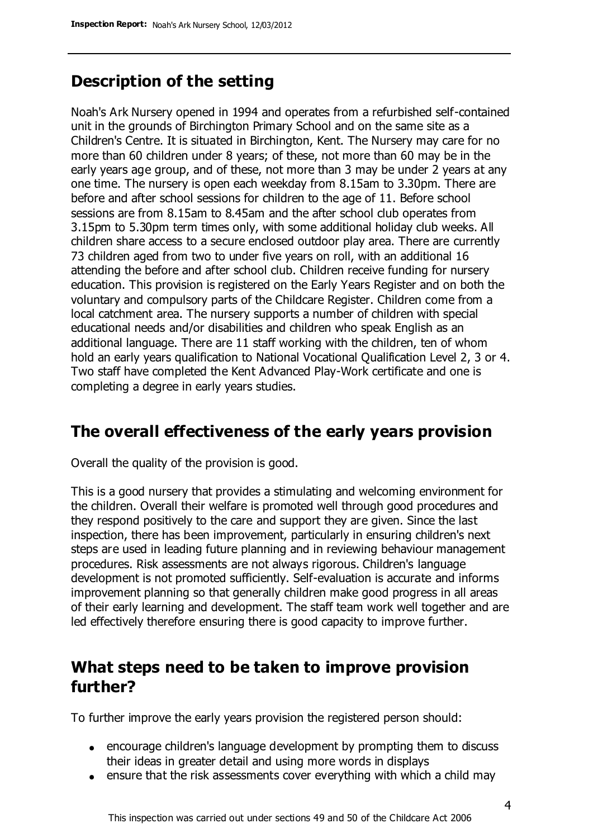# **Description of the setting**

Noah's Ark Nursery opened in 1994 and operates from a refurbished self-contained unit in the grounds of Birchington Primary School and on the same site as a Children's Centre. It is situated in Birchington, Kent. The Nursery may care for no more than 60 children under 8 years; of these, not more than 60 may be in the early years age group, and of these, not more than 3 may be under 2 years at any one time. The nursery is open each weekday from 8.15am to 3.30pm. There are before and after school sessions for children to the age of 11. Before school sessions are from 8.15am to 8.45am and the after school club operates from 3.15pm to 5.30pm term times only, with some additional holiday club weeks. All children share access to a secure enclosed outdoor play area. There are currently 73 children aged from two to under five years on roll, with an additional 16 attending the before and after school club. Children receive funding for nursery education. This provision is registered on the Early Years Register and on both the voluntary and compulsory parts of the Childcare Register. Children come from a local catchment area. The nursery supports a number of children with special educational needs and/or disabilities and children who speak English as an additional language. There are 11 staff working with the children, ten of whom hold an early years qualification to National Vocational Qualification Level 2, 3 or 4. Two staff have completed the Kent Advanced Play-Work certificate and one is completing a degree in early years studies.

### **The overall effectiveness of the early years provision**

Overall the quality of the provision is good.

This is a good nursery that provides a stimulating and welcoming environment for the children. Overall their welfare is promoted well through good procedures and they respond positively to the care and support they are given. Since the last inspection, there has been improvement, particularly in ensuring children's next steps are used in leading future planning and in reviewing behaviour management procedures. Risk assessments are not always rigorous. Children's language development is not promoted sufficiently. Self-evaluation is accurate and informs improvement planning so that generally children make good progress in all areas of their early learning and development. The staff team work well together and are led effectively therefore ensuring there is good capacity to improve further.

### **What steps need to be taken to improve provision further?**

To further improve the early years provision the registered person should:

- encourage children's language development by prompting them to discuss their ideas in greater detail and using more words in displays
- ensure that the risk assessments cover everything with which a child may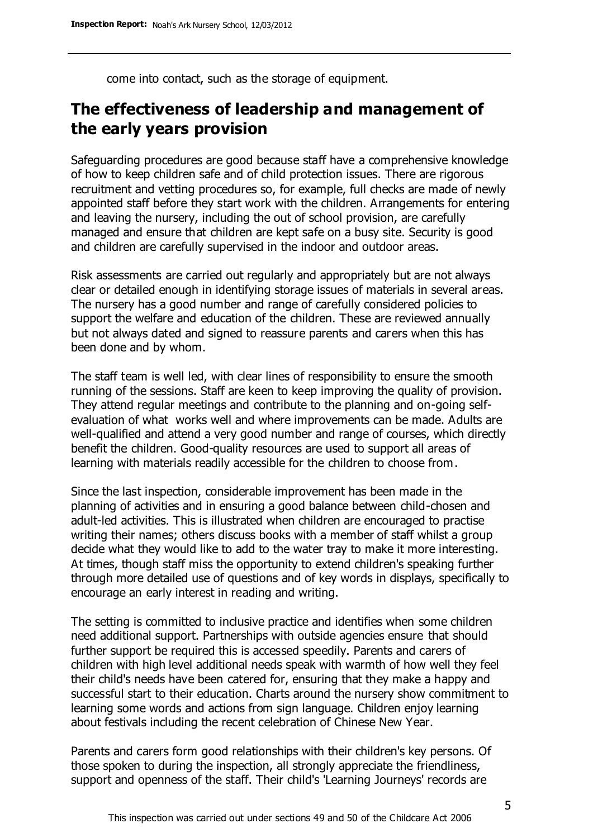come into contact, such as the storage of equipment.

# **The effectiveness of leadership and management of the early years provision**

Safeguarding procedures are good because staff have a comprehensive knowledge of how to keep children safe and of child protection issues. There are rigorous recruitment and vetting procedures so, for example, full checks are made of newly appointed staff before they start work with the children. Arrangements for entering and leaving the nursery, including the out of school provision, are carefully managed and ensure that children are kept safe on a busy site. Security is good and children are carefully supervised in the indoor and outdoor areas.

Risk assessments are carried out regularly and appropriately but are not always clear or detailed enough in identifying storage issues of materials in several areas. The nursery has a good number and range of carefully considered policies to support the welfare and education of the children. These are reviewed annually but not always dated and signed to reassure parents and carers when this has been done and by whom.

The staff team is well led, with clear lines of responsibility to ensure the smooth running of the sessions. Staff are keen to keep improving the quality of provision. They attend regular meetings and contribute to the planning and on-going selfevaluation of what works well and where improvements can be made. Adults are well-qualified and attend a very good number and range of courses, which directly benefit the children. Good-quality resources are used to support all areas of learning with materials readily accessible for the children to choose from.

Since the last inspection, considerable improvement has been made in the planning of activities and in ensuring a good balance between child-chosen and adult-led activities. This is illustrated when children are encouraged to practise writing their names; others discuss books with a member of staff whilst a group decide what they would like to add to the water tray to make it more interesting. At times, though staff miss the opportunity to extend children's speaking further through more detailed use of questions and of key words in displays, specifically to encourage an early interest in reading and writing.

The setting is committed to inclusive practice and identifies when some children need additional support. Partnerships with outside agencies ensure that should further support be required this is accessed speedily. Parents and carers of children with high level additional needs speak with warmth of how well they feel their child's needs have been catered for, ensuring that they make a happy and successful start to their education. Charts around the nursery show commitment to learning some words and actions from sign language. Children enjoy learning about festivals including the recent celebration of Chinese New Year.

Parents and carers form good relationships with their children's key persons. Of those spoken to during the inspection, all strongly appreciate the friendliness, support and openness of the staff. Their child's 'Learning Journeys' records are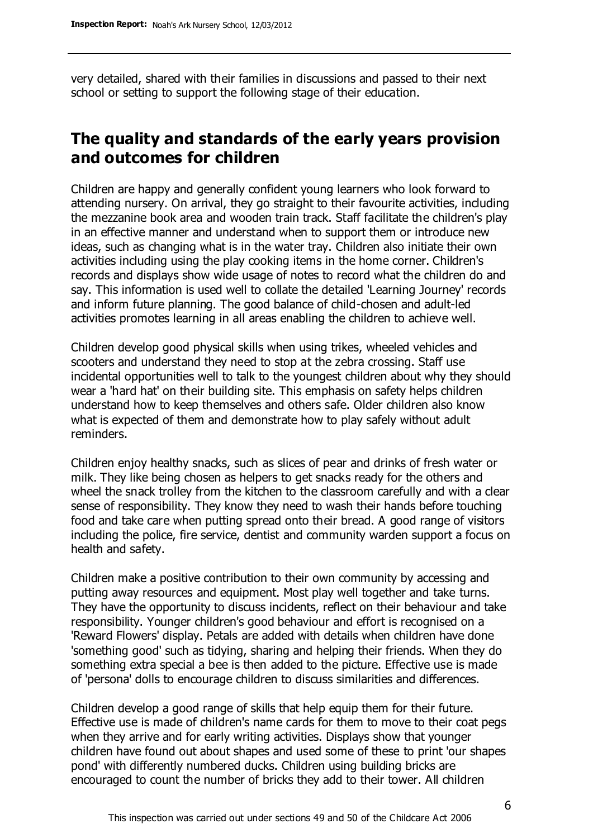very detailed, shared with their families in discussions and passed to their next school or setting to support the following stage of their education.

# **The quality and standards of the early years provision and outcomes for children**

Children are happy and generally confident young learners who look forward to attending nursery. On arrival, they go straight to their favourite activities, including the mezzanine book area and wooden train track. Staff facilitate the children's play in an effective manner and understand when to support them or introduce new ideas, such as changing what is in the water tray. Children also initiate their own activities including using the play cooking items in the home corner. Children's records and displays show wide usage of notes to record what the children do and say. This information is used well to collate the detailed 'Learning Journey' records and inform future planning. The good balance of child-chosen and adult-led activities promotes learning in all areas enabling the children to achieve well.

Children develop good physical skills when using trikes, wheeled vehicles and scooters and understand they need to stop at the zebra crossing. Staff use incidental opportunities well to talk to the youngest children about why they should wear a 'hard hat' on their building site. This emphasis on safety helps children understand how to keep themselves and others safe. Older children also know what is expected of them and demonstrate how to play safely without adult reminders.

Children enjoy healthy snacks, such as slices of pear and drinks of fresh water or milk. They like being chosen as helpers to get snacks ready for the others and wheel the snack trolley from the kitchen to the classroom carefully and with a clear sense of responsibility. They know they need to wash their hands before touching food and take care when putting spread onto their bread. A good range of visitors including the police, fire service, dentist and community warden support a focus on health and safety.

Children make a positive contribution to their own community by accessing and putting away resources and equipment. Most play well together and take turns. They have the opportunity to discuss incidents, reflect on their behaviour and take responsibility. Younger children's good behaviour and effort is recognised on a 'Reward Flowers' display. Petals are added with details when children have done 'something good' such as tidying, sharing and helping their friends. When they do something extra special a bee is then added to the picture. Effective use is made of 'persona' dolls to encourage children to discuss similarities and differences.

Children develop a good range of skills that help equip them for their future. Effective use is made of children's name cards for them to move to their coat pegs when they arrive and for early writing activities. Displays show that younger children have found out about shapes and used some of these to print 'our shapes pond' with differently numbered ducks. Children using building bricks are encouraged to count the number of bricks they add to their tower. All children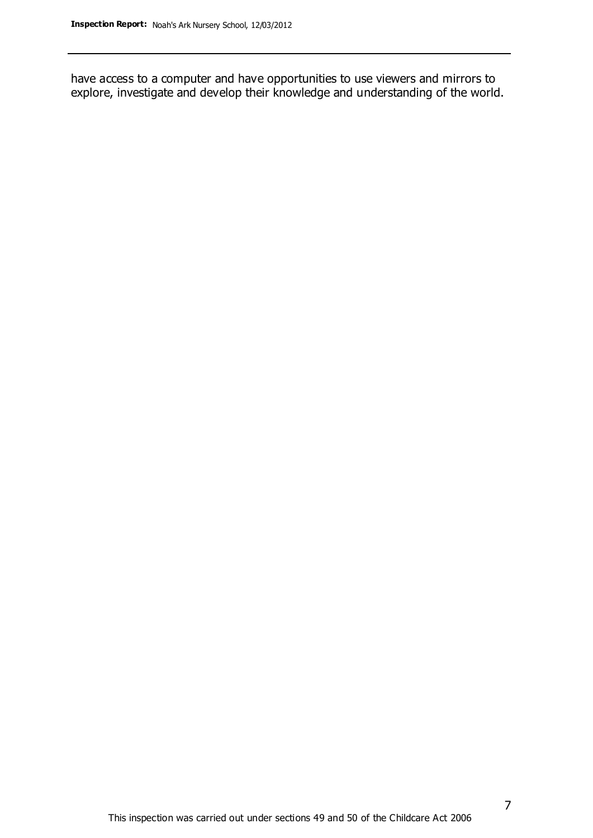have access to a computer and have opportunities to use viewers and mirrors to explore, investigate and develop their knowledge and understanding of the world.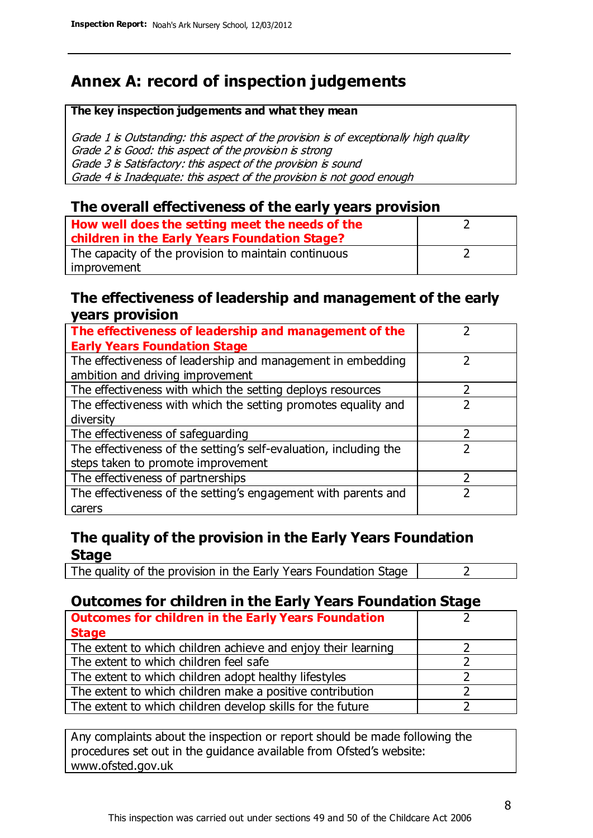# **Annex A: record of inspection judgements**

#### **The key inspection judgements and what they mean**

Grade 1 is Outstanding: this aspect of the provision is of exceptionally high quality Grade 2 is Good: this aspect of the provision is strong Grade 3 is Satisfactory: this aspect of the provision is sound Grade 4 is Inadequate: this aspect of the provision is not good enough

### **The overall effectiveness of the early years provision**

| How well does the setting meet the needs of the      |  |
|------------------------------------------------------|--|
| children in the Early Years Foundation Stage?        |  |
| The capacity of the provision to maintain continuous |  |
| improvement                                          |  |

### **The effectiveness of leadership and management of the early years provision**

| The effectiveness of leadership and management of the             |  |
|-------------------------------------------------------------------|--|
| <b>Early Years Foundation Stage</b>                               |  |
| The effectiveness of leadership and management in embedding       |  |
| ambition and driving improvement                                  |  |
| The effectiveness with which the setting deploys resources        |  |
| The effectiveness with which the setting promotes equality and    |  |
| diversity                                                         |  |
| The effectiveness of safeguarding                                 |  |
| The effectiveness of the setting's self-evaluation, including the |  |
| steps taken to promote improvement                                |  |
| The effectiveness of partnerships                                 |  |
| The effectiveness of the setting's engagement with parents and    |  |
| carers                                                            |  |

### **The quality of the provision in the Early Years Foundation Stage**

The quality of the provision in the Early Years Foundation Stage  $\vert$  2

### **Outcomes for children in the Early Years Foundation Stage**

| <b>Outcomes for children in the Early Years Foundation</b>    |  |
|---------------------------------------------------------------|--|
| <b>Stage</b>                                                  |  |
| The extent to which children achieve and enjoy their learning |  |
| The extent to which children feel safe                        |  |
| The extent to which children adopt healthy lifestyles         |  |
| The extent to which children make a positive contribution     |  |
| The extent to which children develop skills for the future    |  |

Any complaints about the inspection or report should be made following the procedures set out in the guidance available from Ofsted's website: www.ofsted.gov.uk